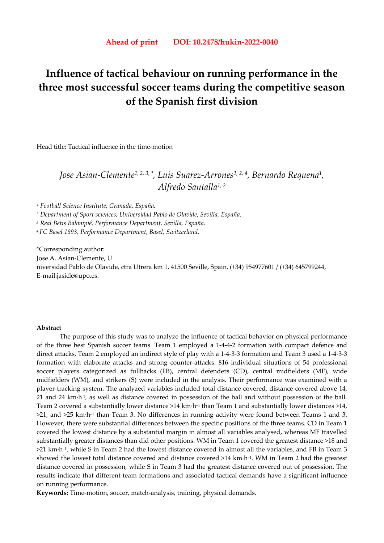# **Influence of tactical behaviour on running performance in the three most successful soccer teams during the competitive season of the Spanish first division**

Head title: Tactical influence in the time-motion

*Jose Asian-Clemente1, 2, 3, \*, Luis Suarez-Arrones1, 2, 4, Bernardo Requena1, Alfredo Santalla1, 2*

*1 Football Science Institute, Granada, España.* 

*2 Department of Sport sciences, Universidad Pablo de Olavide, Sevilla, España.* 

*3 Real Betis Balompié, Performance Department, Sevilla, España.* 

*4 FC Basel 1893, Performance Department, Basel, Switzerland.* 

\*Corresponding author: Jose A. Asian-Clemente, U niversidad Pablo de Olavide, ctra Utrera km 1, 41500 Seville, Spain, (+34) 954977601 / (+34) 645799244, E-mail:jasicle@upo.es.

### **Abstract**

The purpose of this study was to analyze the influence of tactical behavior on physical performance of the three best Spanish soccer teams. Team 1 employed a 1-4-4-2 formation with compact defence and direct attacks, Team 2 employed an indirect style of play with a 1-4-3-3 formation and Team 3 used a 1-4-3-3 formation with elaborate attacks and strong counter-attacks. 816 individual situations of 54 professional soccer players categorized as fullbacks (FB), central defenders (CD), central midfielders (MF), wide midfielders (WM), and strikers (S) were included in the analysis. Their performance was examined with a player-tracking system. The analyzed variables included total distance covered, distance covered above 14, 21 and 24 km·h-1, as well as distance covered in possession of the ball and without possession of the ball. Team 2 covered a substantially lower distance >14 km·h–1 than Team 1 and substantially lower distances >14,  $>21$ , and  $>25$  km·h<sup>-1</sup> than Team 3. No differences in running activity were found between Teams 1 and 3. However, there were substantial differences between the specific positions of the three teams. CD in Team 1 covered the lowest distance by a substantial margin in almost all variables analysed, whereas MF travelled substantially greater distances than did other positions. WM in Team 1 covered the greatest distance >18 and >21 km·h–1, while S in Team 2 had the lowest distance covered in almost all the variables, and FB in Team 3 showed the lowest total distance covered and distance covered >14 km·h–1. WM in Team 2 had the greatest distance covered in possession, while S in Team 3 had the greatest distance covered out of possession. The results indicate that different team formations and associated tactical demands have a significant influence on running performance.

**Keywords:** Time-motion, soccer, match-analysis, training, physical demands.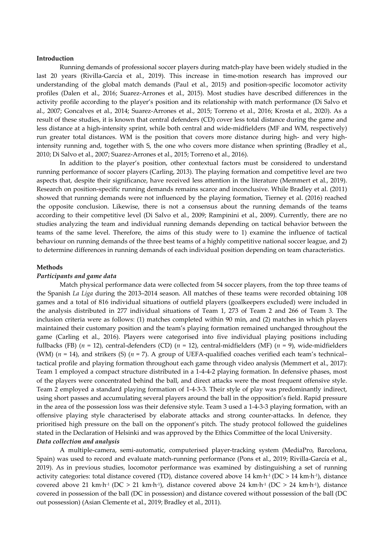#### **Introduction**

Running demands of professional soccer players during match-play have been widely studied in the last 20 years (Rivilla-García et al., 2019). This increase in time-motion research has improved our understanding of the global match demands (Paul et al., 2015) and position-specific locomotor activity profiles (Dalen et al., 2016; Suarez-Arrones et al., 2015). Most studies have described differences in the activity profile according to the player's position and its relationship with match performance (Di Salvo et al., 2007; Goncalves et al., 2014; Suarez-Arrones et al., 2015; Torreno et al., 2016; Krosta et al., 2020). As a result of these studies, it is known that central defenders (CD) cover less total distance during the game and less distance at a high-intensity sprint, while both central and wide-midfielders (MF and WM, respectively) run greater total distances. WM is the position that covers more distance during high- and very highintensity running and, together with S, the one who covers more distance when sprinting (Bradley et al., 2010; Di Salvo et al., 2007; Suarez-Arrones et al., 2015; Torreno et al., 2016).

In addition to the player's position, other contextual factors must be considered to understand running performance of soccer players (Carling, 2013). The playing formation and competitive level are two aspects that, despite their significance, have received less attention in the literature (Memmert et al., 2019). Research on position-specific running demands remains scarce and inconclusive. While Bradley et al. (2011) showed that running demands were not influenced by the playing formation, Tierney et al. (2016) reached the opposite conclusion. Likewise, there is not a consensus about the running demands of the teams according to their competitive level (Di Salvo et al., 2009; Rampinini et al., 2009). Currently, there are no studies analyzing the team and individual running demands depending on tactical behavior between the teams of the same level. Therefore, the aims of this study were to 1) examine the influence of tactical behaviour on running demands of the three best teams of a highly competitive national soccer league, and 2) to determine differences in running demands of each individual position depending on team characteristics.

### **Methods**

#### *Participants and game data*

Match physical performance data were collected from 54 soccer players, from the top three teams of the Spanish *La Liga* during the 2013–2014 season. All matches of these teams were recorded obtaining 108 games and a total of 816 individual situations of outfield players (goalkeepers excluded) were included in the analysis distributed in 277 individual situations of Team 1, 273 of Team 2 and 266 of Team 3. The inclusion criteria were as follows: (1) matches completed within 90 min, and (2) matches in which players maintained their customary position and the team's playing formation remained unchanged throughout the game (Carling et al., 2016). Players were categorised into five individual playing positions including fullbacks (FB) (*n* = 12), central-defenders (CD) (*n* = 12), central-midfielders (MF) (*n* = 9), wide-midfielders (WM) (*n* = 14), and strikers (S) (*n* = 7). A group of UEFA-qualified coaches verified each team's technical– tactical profile and playing formation throughout each game through video analysis (Memmert et al., 2017): Team 1 employed a compact structure distributed in a 1-4-4-2 playing formation. In defensive phases, most of the players were concentrated behind the ball, and direct attacks were the most frequent offensive style. Team 2 employed a standard playing formation of 1-4-3-3. Their style of play was predominantly indirect, using short passes and accumulating several players around the ball in the opposition's field. Rapid pressure in the area of the possession loss was their defensive style. Team 3 used a 1-4-3-3 playing formation, with an offensive playing style characterised by elaborate attacks and strong counter-attacks. In defence, they prioritised high pressure on the ball on the opponent's pitch. The study protocol followed the guidelines stated in the Declaration of Helsinki and was approved by the Ethics Committee of the local University. *Data collection and analysis* 

A multiple-camera, semi-automatic, computerised player-tracking system (MediaPro, Barcelona, Spain) was used to record and evaluate match-running performance (Pons et al., 2019; Rivilla-García et al., 2019). As in previous studies, locomotor performance was examined by distinguishing a set of running activity categories: total distance covered (TD), distance covered above 14 km·h<sup>-1</sup> (DC > 14 km·h<sup>-1</sup>), distance covered above 21 km·h<sup>-1</sup> ( $DC > 21$  km·h<sup>-1</sup>), distance covered above 24 km·h<sup>-1</sup> ( $DC > 24$  km·h<sup>-1</sup>), distance covered in possession of the ball (DC in possession) and distance covered without possession of the ball (DC out possession) (Asian Clemente et al., 2019; Bradley et al., 2011).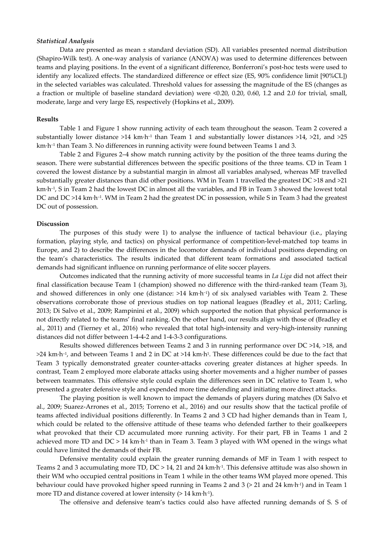#### *Statistical Analysis*

Data are presented as mean ± standard deviation (SD). All variables presented normal distribution (Shapiro-Wilk test). A one-way analysis of variance (ANOVA) was used to determine differences between teams and playing positions. In the event of a significant difference, Bonferroni's post-hoc tests were used to identify any localized effects. The standardized difference or effect size (ES, 90% confidence limit [90%CL]) in the selected variables was calculated. Threshold values for assessing the magnitude of the ES (changes as a fraction or multiple of baseline standard deviation) were <0.20, 0.20, 0.60, 1.2 and 2.0 for trivial, small, moderate, large and very large ES, respectively (Hopkins et al., 2009).

#### **Results**

Table 1 and Figure 1 show running activity of each team throughout the season. Team 2 covered a substantially lower distance >14 km·h<sup>-1</sup> than Team 1 and substantially lower distances >14, >21, and >25 km·h<sup>-1</sup> than Team 3. No differences in running activity were found between Teams 1 and 3.

Table 2 and Figures 2–4 show match running activity by the position of the three teams during the season. There were substantial differences between the specific positions of the three teams. CD in Team 1 covered the lowest distance by a substantial margin in almost all variables analysed, whereas MF travelled substantially greater distances than did other positions. WM in Team 1 travelled the greatest DC >18 and >21 km·h<sup>-1</sup>, S in Team 2 had the lowest DC in almost all the variables, and FB in Team 3 showed the lowest total DC and DC >14 km·h<sup>-1</sup>. WM in Team 2 had the greatest DC in possession, while S in Team 3 had the greatest DC out of possession.

## **Discussion**

The purposes of this study were 1) to analyse the influence of tactical behaviour (i.e., playing formation, playing style, and tactics) on physical performance of competition-level-matched top teams in Europe, and 2) to describe the differences in the locomotor demands of individual positions depending on the team's characteristics. The results indicated that different team formations and associated tactical demands had significant influence on running performance of elite soccer players.

Outcomes indicated that the running activity of more successful teams in *La Liga* did not affect their final classification because Team 1 (champion) showed no difference with the third-ranked team (Team 3), and showed differences in only one (distance: >14 km·h<sup>-1</sup>) of six analysed variables with Team 2. These observations corroborate those of previous studies on top national leagues (Bradley et al., 2011; Carling, 2013; Di Salvo et al., 2009; Rampinini et al., 2009) which supported the notion that physical performance is not directly related to the teams' final ranking. On the other hand, our results align with those of (Bradley et al., 2011) and (Tierney et al., 2016) who revealed that total high-intensity and very-high-intensity running distances did not differ between 1-4-4-2 and 1-4-3-3 configurations.

Results showed differences between Teams 2 and 3 in running performance over DC >14, >18, and  $>24$  km·h<sup>-1</sup>, and between Teams 1 and 2 in DC at  $>14$  km·h<sup>1</sup>. These differences could be due to the fact that Team 3 typically demonstrated greater counter-attacks covering greater distances at higher speeds. In contrast, Team 2 employed more elaborate attacks using shorter movements and a higher number of passes between teammates. This offensive style could explain the differences seen in DC relative to Team 1, who presented a greater defensive style and expended more time defending and initiating more direct attacks.

The playing position is well known to impact the demands of players during matches (Di Salvo et al., 2009; Suarez-Arrones et al., 2015; Torreno et al., 2016) and our results show that the tactical profile of teams affected individual positions differently. In Teams 2 and 3 CD had higher demands than in Team 1, which could be related to the offensive attitude of these teams who defended farther to their goalkeepers what provoked that their CD accumulated more running activity. For their part, FB in Teams 1 and 2 achieved more TD and  $DC > 14$  km·h<sup>-1</sup> than in Team 3. Team 3 played with WM opened in the wings what could have limited the demands of their FB.

Defensive mentality could explain the greater running demands of MF in Team 1 with respect to Teams 2 and 3 accumulating more TD, DC > 14, 21 and 24 km·h-1. This defensive attitude was also shown in their WM who occupied central positions in Team 1 while in the other teams WM played more opened. This behaviour could have provoked higher speed running in Teams 2 and  $3$  ( $>$  21 and 24 km·h<sup>-1</sup>) and in Team 1 more TD and distance covered at lower intensity (> 14 km·h-1).

The offensive and defensive team's tactics could also have affected running demands of S. S of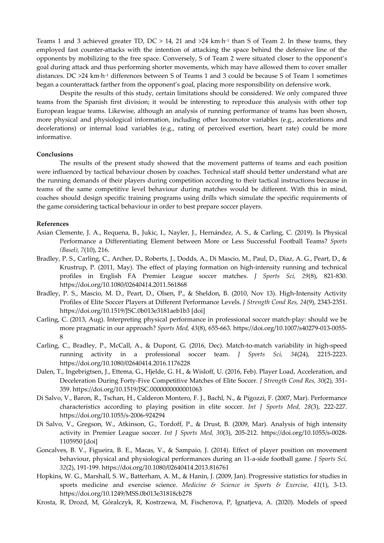Teams 1 and 3 achieved greater TD,  $DC > 14$ , 21 and  $>24$  km·h<sup>-1</sup> than S of Team 2. In these teams, they employed fast counter-attacks with the intention of attacking the space behind the defensive line of the opponents by mobilizing to the free space. Conversely, S of Team 2 were situated closer to the opponent's goal during attack and thus performing shorter movements, which may have allowed them to cover smaller distances. DC >24 km·h<sup>-1</sup> differences between S of Teams 1 and 3 could be because S of Team 1 sometimes began a counterattack farther from the opponent's goal, placing more responsibility on defensive work.

Despite the results of this study, certain limitations should be considered. We only compared three teams from the Spanish first division; it would be interesting to reproduce this analysis with other top European league teams. Likewise, although an analysis of running performance of teams has been shown, more physical and physiological information, including other locomotor variables (e.g., accelerations and decelerations) or internal load variables (e.g., rating of perceived exertion, heart rate) could be more informative.

## **Conclusions**

The results of the present study showed that the movement patterns of teams and each position were influenced by tactical behaviour chosen by coaches. Technical staff should better understand what are the running demands of their players during competition according to their tactical instructions because in teams of the same competitive level behaviour during matches would be different. With this in mind, coaches should design specific training programs using drills which simulate the specific requirements of the game considering tactical behaviour in order to best prepare soccer players.

## **References**

- Asian Clemente, J. A., Requena, B., Jukic, I., Nayler, J., Hernández, A. S., & Carling, C. (2019). Is Physical Performance a Differentiating Element between More or Less Successful Football Teams? *Sports (Basel), 7*(10), 216.
- Bradley, P. S., Carling, C., Archer, D., Roberts, J., Dodds, A., Di Mascio, M., Paul, D., Diaz, A. G., Peart, D., & Krustrup, P. (2011, May). The effect of playing formation on high-intensity running and technical profiles in English FA Premier League soccer matches. *J Sports Sci, 29*(8), 821-830. https://doi.org/10.1080/02640414.2011.561868
- Bradley, P. S., Mascio, M. D., Peart, D., Olsen, P., & Sheldon, B. (2010, Nov 13). High-Intensity Activity Profiles of Elite Soccer Players at Different Performance Levels. *J Strength Cond Res, 24*(9), 2343-2351. https://doi.org/10.1519/JSC.0b013e3181aeb1b3 [doi]
- Carling, C. (2013, Aug). Interpreting physical performance in professional soccer match-play: should we be more pragmatic in our approach? *Sports Med, 43*(8), 655-663. https://doi.org/10.1007/s40279-013-0055- 8
- Carling, C., Bradley, P., McCall, A., & Dupont, G. (2016, Dec). Match-to-match variability in high-speed running activity in a professional soccer team. *J Sports Sci, 34*(24), 2215-2223. https://doi.org/10.1080/02640414.2016.1176228
- Dalen, T., Ingebrigtsen, J., Ettema, G., Hjelde, G. H., & Wisloff, U. (2016, Feb). Player Load, Acceleration, and Deceleration During Forty-Five Competitive Matches of Elite Soccer. *J Strength Cond Res, 30*(2), 351- 359. https://doi.org/10.1519/JSC.0000000000001063
- Di Salvo, V., Baron, R., Tschan, H., Calderon Montero, F. J., Bachl, N., & Pigozzi, F. (2007, Mar). Performance characteristics according to playing position in elite soccer. *Int J Sports Med, 28*(3), 222-227. https://doi.org/10.1055/s-2006-924294
- Di Salvo, V., Gregson, W., Atkinson, G., Tordoff, P., & Drust, B. (2009, Mar). Analysis of high intensity activity in Premier League soccer. *Int J Sports Med, 30*(3), 205-212. https://doi.org/10.1055/s-0028- 1105950 [doi]
- Goncalves, B. V., Figueira, B. E., Macas, V., & Sampaio, J. (2014). Effect of player position on movement behaviour, physical and physiological performances during an 11-a-side football game. *J Sports Sci, 32*(2), 191-199. https://doi.org/10.1080/02640414.2013.816761
- Hopkins, W. G., Marshall, S. W., Batterham, A. M., & Hanin, J. (2009, Jan). Progressive statistics for studies in sports medicine and exercise science. *Medicine & Science in Sports & Exercise, 41*(1), 3-13. https://doi.org/10.1249/MSS.0b013e31818cb278
- Krosta, R, Drozd, M, Góralczyk, R, Kostrzewa, M, Fischerova, P, Ignatjeva, A. (2020). Models of speed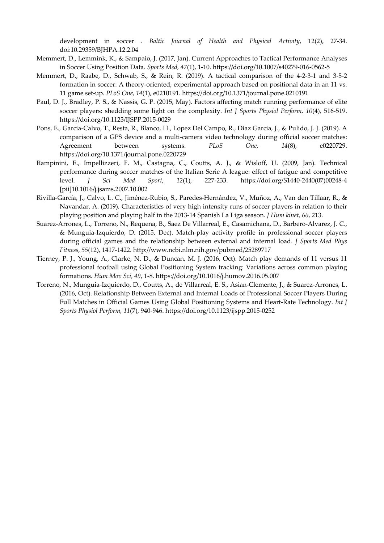development in soccer . *Baltic Journal of Health and Physical Activity*, 12(2), 27-34. doi:10.29359/BJHPA.12.2.04

- Memmert, D., Lemmink, K., & Sampaio, J. (2017, Jan). Current Approaches to Tactical Performance Analyses in Soccer Using Position Data. *Sports Med, 47*(1), 1-10. https://doi.org/10.1007/s40279-016-0562-5
- Memmert, D., Raabe, D., Schwab, S., & Rein, R. (2019). A tactical comparison of the 4-2-3-1 and 3-5-2 formation in soccer: A theory-oriented, experimental approach based on positional data in an 11 vs. 11 game set-up. *PLoS One, 14*(1), e0210191. https://doi.org/10.1371/journal.pone.0210191
- Paul, D. J., Bradley, P. S., & Nassis, G. P. (2015, May). Factors affecting match running performance of elite soccer players: shedding some light on the complexity. *Int J Sports Physiol Perform, 10*(4), 516-519. https://doi.org/10.1123/IJSPP.2015-0029
- Pons, E., Garcia-Calvo, T., Resta, R., Blanco, H., Lopez Del Campo, R., Diaz Garcia, J., & Pulido, J. J. (2019). A comparison of a GPS device and a multi-camera video technology during official soccer matches: Agreement between systems. *PLoS One, 14*(8), e0220729. https://doi.org/10.1371/journal.pone.0220729
- Rampinini, E., Impellizzeri, F. M., Castagna, C., Coutts, A. J., & Wisloff, U. (2009, Jan). Technical performance during soccer matches of the Italian Serie A league: effect of fatigue and competitive level. *J Sci Med Sport, 12*(1), 227-233. https://doi.org/S1440-2440(07)00248-4 [pii]10.1016/j.jsams.2007.10.002
- Rivilla-García, J., Calvo, L. C., Jiménez-Rubio, S., Paredes-Hernández, V., Muñoz, A., Van den Tillaar, R., & Navandar, A. (2019). Characteristics of very high intensity runs of soccer players in relation to their playing position and playing half in the 2013-14 Spanish La Liga season. *J Hum kinet, 66*, 213.
- Suarez-Arrones, L., Torreno, N., Requena, B., Saez De Villarreal, E., Casamichana, D., Barbero-Alvarez, J. C., & Munguia-Izquierdo, D. (2015, Dec). Match-play activity profile in professional soccer players during official games and the relationship between external and internal load. *J Sports Med Phys Fitness, 55*(12), 1417-1422. http://www.ncbi.nlm.nih.gov/pubmed/25289717
- Tierney, P. J., Young, A., Clarke, N. D., & Duncan, M. J. (2016, Oct). Match play demands of 11 versus 11 professional football using Global Positioning System tracking: Variations across common playing formations. *Hum Mov Sci, 49*, 1-8. https://doi.org/10.1016/j.humov.2016.05.007
- Torreno, N., Munguia-Izquierdo, D., Coutts, A., de Villarreal, E. S., Asian-Clemente, J., & Suarez-Arrones, L. (2016, Oct). Relationship Between External and Internal Loads of Professional Soccer Players During Full Matches in Official Games Using Global Positioning Systems and Heart-Rate Technology. *Int J Sports Physiol Perform, 11*(7), 940-946. https://doi.org/10.1123/ijspp.2015-0252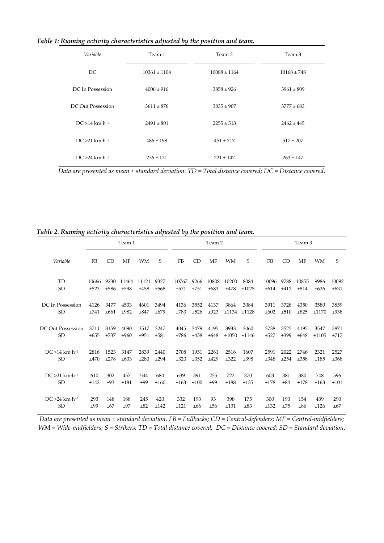|  | Table 1: Running activity characteristics adjusted by the position and team. |  |  |
|--|------------------------------------------------------------------------------|--|--|
|  |                                                                              |  |  |

| Variable                             | Team 1           | Team 2           | Team 3          |  |  |  |
|--------------------------------------|------------------|------------------|-----------------|--|--|--|
| DC.                                  | $10361 \pm 1104$ | $10088 \pm 1164$ | $10168 \pm 748$ |  |  |  |
| DC In Possession                     | $4006 \pm 916$   | $3858 \pm 926$   | $3961 \pm 809$  |  |  |  |
| DC Out Possession                    | $3611 \pm 876$   | $3835 \pm 907$   | $3777 \pm 683$  |  |  |  |
| $DC > 14$ km $\cdot h^{-1}$          | $2491 \pm 801$   | $2255 \pm 513$   | $2462 \pm 445$  |  |  |  |
| $DC > 21$ km $\cdot$ h <sup>-1</sup> | $486 \pm 198$    | $451 \pm 217$    | $517 \pm 207$   |  |  |  |
| $DC > 24$ km $\cdot h^{-1}$          | $236 \pm 131$    | $221 \pm 142$    | $263 \pm 147$   |  |  |  |

*Data are presented as mean ± standard deviation. TD = Total distance covered; DC = Distance covered.*

|                                      | Team 1    |                |       |           |      | Team 2 |      |           |           | Team 3   |       |      |           |           |       |
|--------------------------------------|-----------|----------------|-------|-----------|------|--------|------|-----------|-----------|----------|-------|------|-----------|-----------|-------|
| Variable                             | FB        | C <sub>D</sub> | MF    | WM        | S    | FB     | CD   | MF        | <b>WM</b> | S        | FB    | CD   | MF        | <b>WM</b> | S     |
| TD                                   | 10666     | 9230           | 11464 | 11121     | 9327 | 10767  | 9266 | 10808     | 10200     | 8084     | 10096 | 9788 | 10855     | 9986      | 10092 |
| <b>SD</b>                            | ±523      | ±586           | ±598  | ±458      | ±568 | ±571   | ±751 | $\pm 683$ | ±478      | ±1025    | ±614  | ±412 | $\pm 814$ | ±626      | ±631  |
| DC In Possession                     | 4126      | 3477           | 4533  | 4601      | 3494 | 4136   | 3552 | 4137      | 3864      | 3084     | 3911  | 3728 | 4350      | 3580      | 3859  |
| <b>SD</b>                            | ±741      | ±661           | ±982  | $\pm 847$ | ±679 | ±783   | ±526 | ±923      | ±1134     | ±1128    | ±602  | ±510 | $\pm 825$ | ±1170     | ±938  |
| DC Out Possession                    | 3711      | 3159           | 4090  | 3517      | 3247 | 4045   | 3479 | 4195      | 3933      | 3060     | 3738  | 3525 | 4195      | 3547      | 3871  |
| <b>SD</b>                            | $\pm 655$ | $\pm 737$      | ±960  | ±951      | ±581 | ±786   | ±458 | ±648      | ±1050     | ±1146    | ±527  | ±399 | ±648      | ±1105     | ±717  |
| $DC > 14$ km $\cdot h^{-1}$          | 2816      | 1523           | 3147  | 2839      | 2440 | 2708   | 1951 | 2261      | 2516      | 1607     | 2591  | 2022 | 2746      | 2321      | 2527  |
| <b>SD</b>                            | ±470      | ±278           | ±633  | ±280      | ±294 | ±320   | ±352 | ±429      | ±322      | ±398     | ±348  | ±254 | ±358      | ±185      | ±368  |
| $DC > 21$ km $\cdot h^{-1}$          | 610       | 302            | 457   | 544       | 680  | 639    | 391  | 255       | 722       | 370      | 603   | 381  | 380       | 748       | 596   |
| <b>SD</b>                            | ±142      | ±93            | ±181  | ±99       | ±160 | ±163   | ±100 | ±99       | ±188      | ±135     | ±178  | ±84  | ±178      | ±163      | ±101  |
| $DC > 24$ km $\cdot$ h <sup>-1</sup> | 293       | 148            | 188   | 245       | 420  | 332    | 193  | 93        | 398       | 175      | 300   | 190  | 154       | 439       | 290   |
| <b>SD</b>                            | ±99       | ±67            | ±97   | $\pm 82$  | ±142 | ±121   | ±66  | ±56       | ±131      | $\pm 83$ | ±132  | ±75  | ±86       | ±126      | ±67   |

*Table 2. Running activity characteristics adjusted by the position and team.* 

*Data are presented as mean ± standard deviation. FB = Fullbacks; CD = Central-defenders; MF = Central-midfielders; WM = Wide-midfielders; S = Strikers; TD = Total distance covered; DC = Distance covered; SD = Standard deviation.*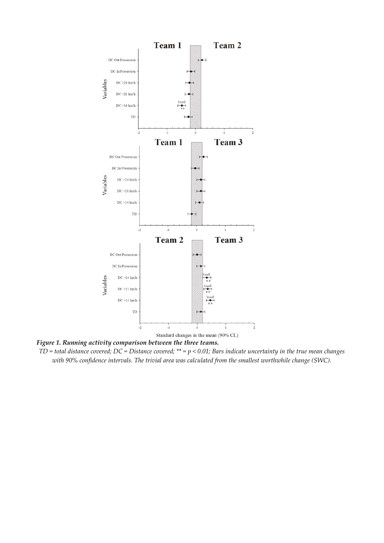

*Figure 1. Running activity comparison between the three teams.* 

*TD = total distance covered; DC = Distance covered; \*\* = p < 0.01; Bars indicate uncertainty in the true mean changes with 90% confidence intervals. The trivial area was calculated from the smallest worthwhile change (SWC).*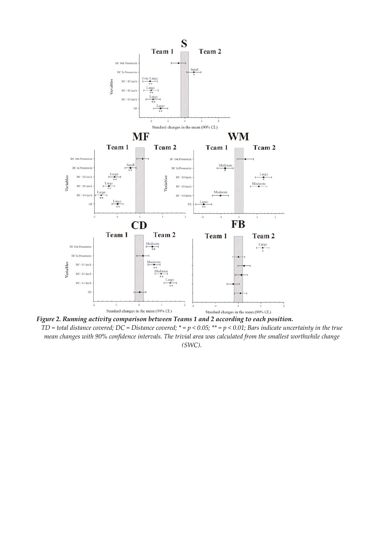

*Figure 2. Running activity comparison between Teams 1 and 2 according to each position. TD = total distance covered; DC = Distance covered; \* = p < 0.05; \*\* = p < 0.01; Bars indicate uncertainty in the true mean changes with 90% confidence intervals. The trivial area was calculated from the smallest worthwhile change (SWC).*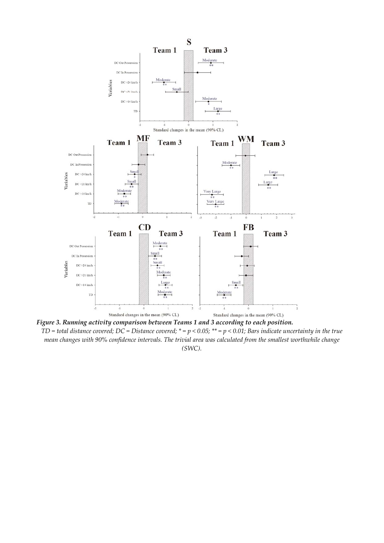

*Figure 3. Running activity comparison between Teams 1 and 3 according to each position. TD = total distance covered; DC = Distance covered; \* = p < 0.05; \*\* = p < 0.01; Bars indicate uncertainty in the true mean changes with 90% confidence intervals. The trivial area was calculated from the smallest worthwhile change (SWC).*